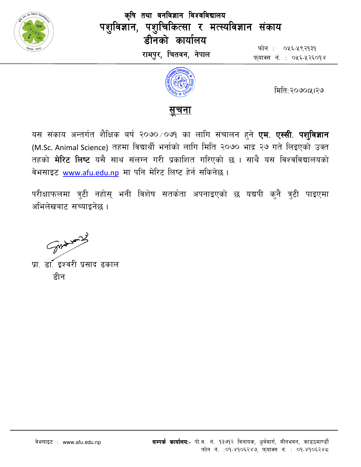

कृषि तथा वनविज्ञान विश्वविद्यालय पशुविज्ञान, पशुचिकित्सा र मत्स्यविज्ञान संकाय डीनको कार्यालय रामपुर, चितवन, नेपाल

फोन : ०५६-५९२१३१ फयाक्स नं. : ०५६-५२६०१४



मिति: २०७०।५१२७

# <u>सचना</u>

यस संकाय अन्तर्गत शैक्षिक बर्ष २०७० ⁄ ०७१ का लागि संचालन हुने <mark>एम. एस्सी. पशुविज्ञान</mark> (M.Sc. Animal Science) तहमा विद्यार्थी भर्नाको लागि मिति २०७० भाद्र २७ गते लिइएको उक्त तहको **मेरिट लिष्ट** यसै साथ संलग्न गरी प्रकाशित गरिएको छ । साथै यस विश्वविद्यालयको वेभसाइट www.afu.edu.np मा पनि मेरिट लिष्ट हेर्न सकिनेछ ।

परीक्षाफलमा त्रुटी नहोस् भनी विशेष सतर्कता अपनाइएको छ यद्यपी कुनै त्रुटी पाइएमा अभिलेखबाट सच्याइनेछ ।

Some word

प्रा. डा. इश्वरी प्रसाद ढकाल हीन